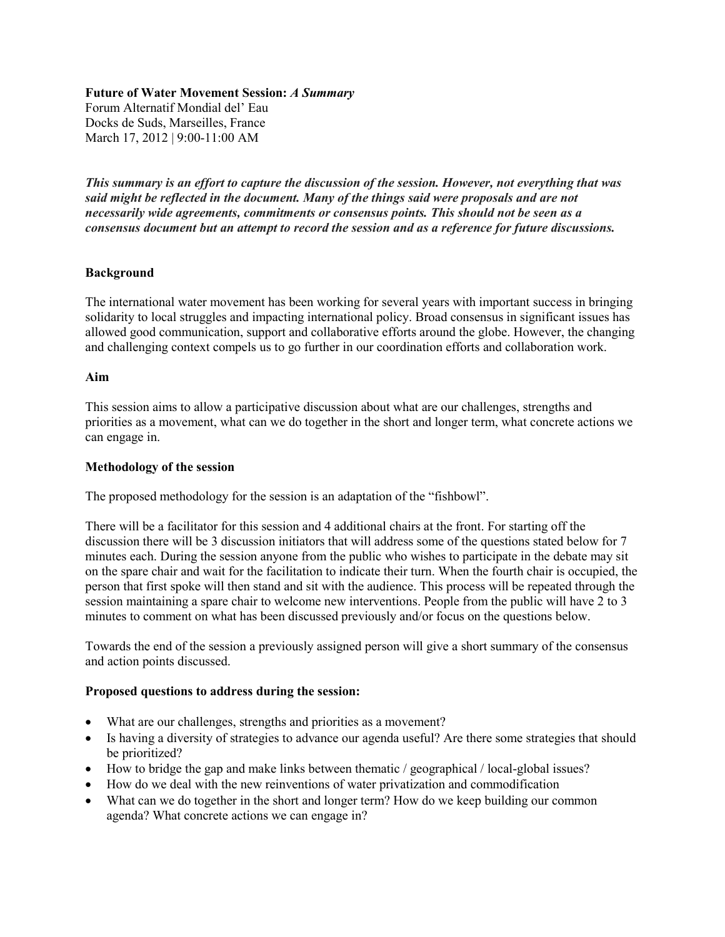### **Future of Water Movement Session:** *A Summary*

Forum Alternatif Mondial del' Eau Docks de Suds, Marseilles, France March 17, 2012 | 9:00-11:00 AM

*This summary is an effort to capture the discussion of the session. However, not everything that was said might be reflected in the document. Many of the things said were proposals and are not necessarily wide agreements, commitments or consensus points. This should not be seen as a consensus document but an attempt to record the session and as a reference for future discussions.* 

## **Background**

The international water movement has been working for several years with important success in bringing solidarity to local struggles and impacting international policy. Broad consensus in significant issues has allowed good communication, support and collaborative efforts around the globe. However, the changing and challenging context compels us to go further in our coordination efforts and collaboration work.

### **Aim**

This session aims to allow a participative discussion about what are our challenges, strengths and priorities as a movement, what can we do together in the short and longer term, what concrete actions we can engage in.

### **Methodology of the session**

The proposed methodology for the session is an adaptation of the "fishbowl".

There will be a facilitator for this session and 4 additional chairs at the front. For starting off the discussion there will be 3 discussion initiators that will address some of the questions stated below for 7 minutes each. During the session anyone from the public who wishes to participate in the debate may sit on the spare chair and wait for the facilitation to indicate their turn. When the fourth chair is occupied, the person that first spoke will then stand and sit with the audience. This process will be repeated through the session maintaining a spare chair to welcome new interventions. People from the public will have 2 to 3 minutes to comment on what has been discussed previously and/or focus on the questions below.

Towards the end of the session a previously assigned person will give a short summary of the consensus and action points discussed.

#### **Proposed questions to address during the session:**

- What are our challenges, strengths and priorities as a movement?
- Is having a diversity of strategies to advance our agenda useful? Are there some strategies that should be prioritized?
- How to bridge the gap and make links between thematic / geographical / local-global issues?
- How do we deal with the new reinventions of water privatization and commodification
- What can we do together in the short and longer term? How do we keep building our common agenda? What concrete actions we can engage in?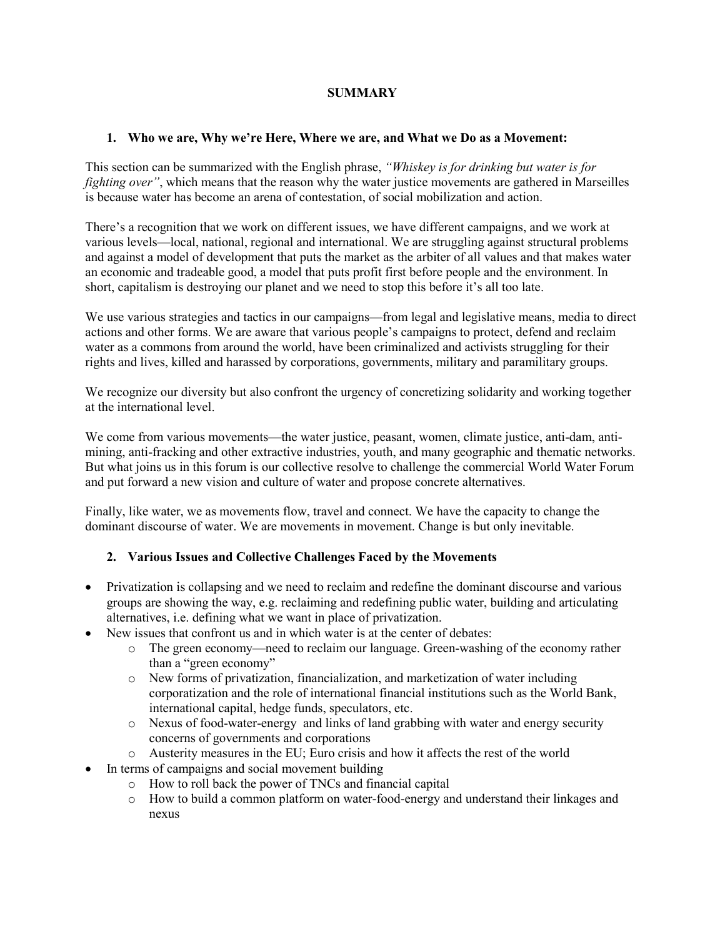## **SUMMARY**

## **1. Who we are, Why we're Here, Where we are, and What we Do as a Movement:**

This section can be summarized with the English phrase, *"Whiskey is for drinking but water is for fighting over"*, which means that the reason why the water justice movements are gathered in Marseilles is because water has become an arena of contestation, of social mobilization and action.

There's a recognition that we work on different issues, we have different campaigns, and we work at various levels—local, national, regional and international. We are struggling against structural problems and against a model of development that puts the market as the arbiter of all values and that makes water an economic and tradeable good, a model that puts profit first before people and the environment. In short, capitalism is destroying our planet and we need to stop this before it's all too late.

We use various strategies and tactics in our campaigns—from legal and legislative means, media to direct actions and other forms. We are aware that various people's campaigns to protect, defend and reclaim water as a commons from around the world, have been criminalized and activists struggling for their rights and lives, killed and harassed by corporations, governments, military and paramilitary groups.

We recognize our diversity but also confront the urgency of concretizing solidarity and working together at the international level.

We come from various movements—the water justice, peasant, women, climate justice, anti-dam, antimining, anti-fracking and other extractive industries, youth, and many geographic and thematic networks. But what joins us in this forum is our collective resolve to challenge the commercial World Water Forum and put forward a new vision and culture of water and propose concrete alternatives.

Finally, like water, we as movements flow, travel and connect. We have the capacity to change the dominant discourse of water. We are movements in movement. Change is but only inevitable.

# **2. Various Issues and Collective Challenges Faced by the Movements**

- Privatization is collapsing and we need to reclaim and redefine the dominant discourse and various groups are showing the way, e.g. reclaiming and redefining public water, building and articulating alternatives, i.e. defining what we want in place of privatization.
- New issues that confront us and in which water is at the center of debates:
	- o The green economy—need to reclaim our language. Green-washing of the economy rather than a "green economy"
	- o New forms of privatization, financialization, and marketization of water including corporatization and the role of international financial institutions such as the World Bank, international capital, hedge funds, speculators, etc.
	- o Nexus of food-water-energy and links of land grabbing with water and energy security concerns of governments and corporations
	- o Austerity measures in the EU; Euro crisis and how it affects the rest of the world
- In terms of campaigns and social movement building
	- o How to roll back the power of TNCs and financial capital
	- o How to build a common platform on water-food-energy and understand their linkages and nexus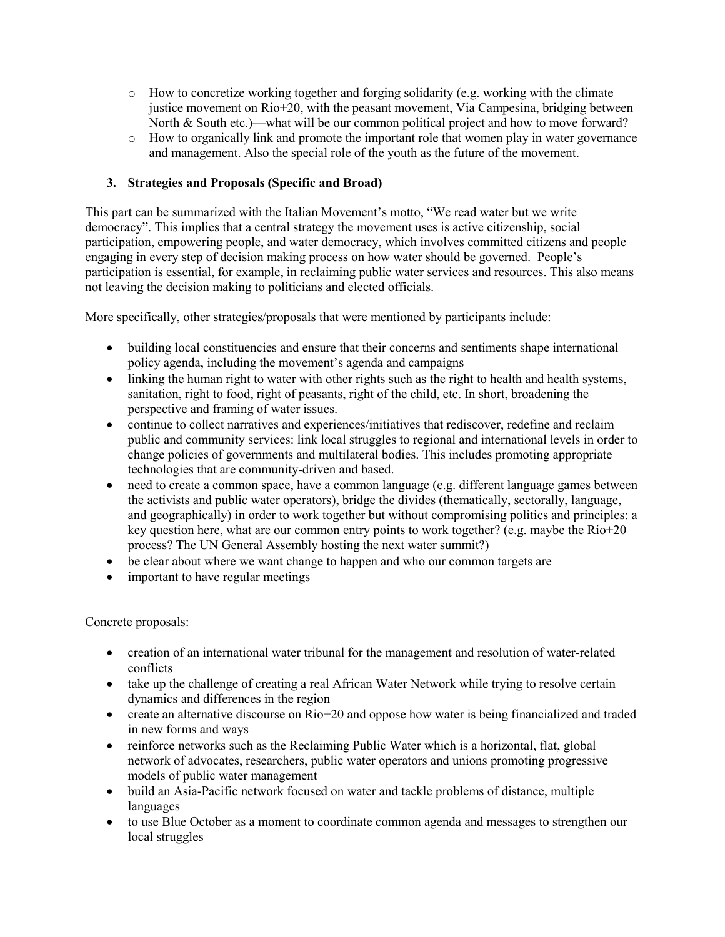- $\circ$  How to concretize working together and forging solidarity (e.g. working with the climate justice movement on Rio+20, with the peasant movement, Via Campesina, bridging between North & South etc.)—what will be our common political project and how to move forward?
- o How to organically link and promote the important role that women play in water governance and management. Also the special role of the youth as the future of the movement.

# **3. Strategies and Proposals (Specific and Broad)**

This part can be summarized with the Italian Movement's motto, "We read water but we write democracy". This implies that a central strategy the movement uses is active citizenship, social participation, empowering people, and water democracy, which involves committed citizens and people engaging in every step of decision making process on how water should be governed. People's participation is essential, for example, in reclaiming public water services and resources. This also means not leaving the decision making to politicians and elected officials.

More specifically, other strategies/proposals that were mentioned by participants include:

- building local constituencies and ensure that their concerns and sentiments shape international policy agenda, including the movement's agenda and campaigns
- linking the human right to water with other rights such as the right to health and health systems, sanitation, right to food, right of peasants, right of the child, etc. In short, broadening the perspective and framing of water issues.
- continue to collect narratives and experiences/initiatives that rediscover, redefine and reclaim public and community services: link local struggles to regional and international levels in order to change policies of governments and multilateral bodies. This includes promoting appropriate technologies that are community-driven and based.
- need to create a common space, have a common language (e.g. different language games between the activists and public water operators), bridge the divides (thematically, sectorally, language, and geographically) in order to work together but without compromising politics and principles: a key question here, what are our common entry points to work together? (e.g. maybe the Rio+20 process? The UN General Assembly hosting the next water summit?)
- be clear about where we want change to happen and who our common targets are
- important to have regular meetings

Concrete proposals:

- creation of an international water tribunal for the management and resolution of water-related conflicts
- take up the challenge of creating a real African Water Network while trying to resolve certain dynamics and differences in the region
- create an alternative discourse on Rio+20 and oppose how water is being financialized and traded in new forms and ways
- reinforce networks such as the Reclaiming Public Water which is a horizontal, flat, global network of advocates, researchers, public water operators and unions promoting progressive models of public water management
- build an Asia-Pacific network focused on water and tackle problems of distance, multiple languages
- to use Blue October as a moment to coordinate common agenda and messages to strengthen our local struggles